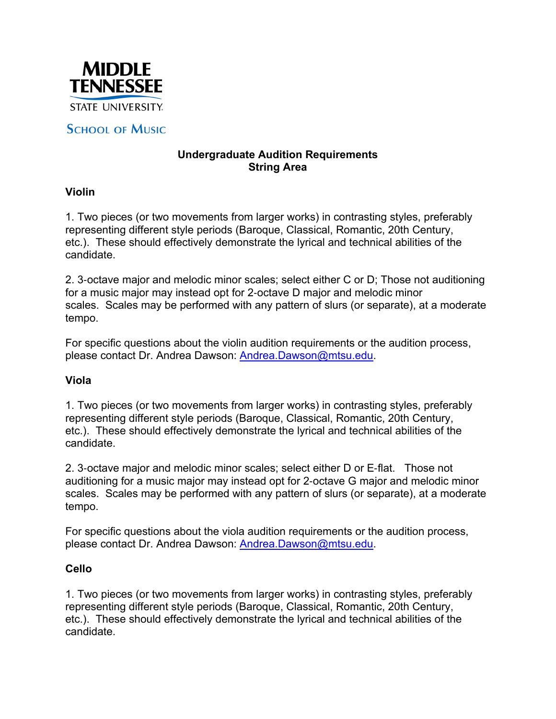

# **SCHOOL OF MUSIC**

## **Undergraduate Audition Requirements String Area**

### **Violin**

1. Two pieces (or two movements from larger works) in contrasting styles, preferably representing different style periods (Baroque, Classical, Romantic, 20th Century, etc.). These should effectively demonstrate the lyrical and technical abilities of the candidate.

2. 3-octave major and melodic minor scales; select either C or D; Those not auditioning for a music major may instead opt for 2-octave D major and melodic minor scales. Scales may be performed with any pattern of slurs (or separate), at a moderate tempo.

For specific questions about the violin audition requirements or the audition process, please contact Dr. Andrea Dawson: Andrea.Dawson@mtsu.edu.

## **Viola**

1. Two pieces (or two movements from larger works) in contrasting styles, preferably representing different style periods (Baroque, Classical, Romantic, 20th Century, etc.). These should effectively demonstrate the lyrical and technical abilities of the candidate.

2. 3-octave major and melodic minor scales; select either D or E-flat. Those not auditioning for a music major may instead opt for 2-octave G major and melodic minor scales. Scales may be performed with any pattern of slurs (or separate), at a moderate tempo.

For specific questions about the viola audition requirements or the audition process, please contact Dr. Andrea Dawson: Andrea.Dawson@mtsu.edu.

#### **Cello**

1. Two pieces (or two movements from larger works) in contrasting styles, preferably representing different style periods (Baroque, Classical, Romantic, 20th Century, etc.). These should effectively demonstrate the lyrical and technical abilities of the candidate.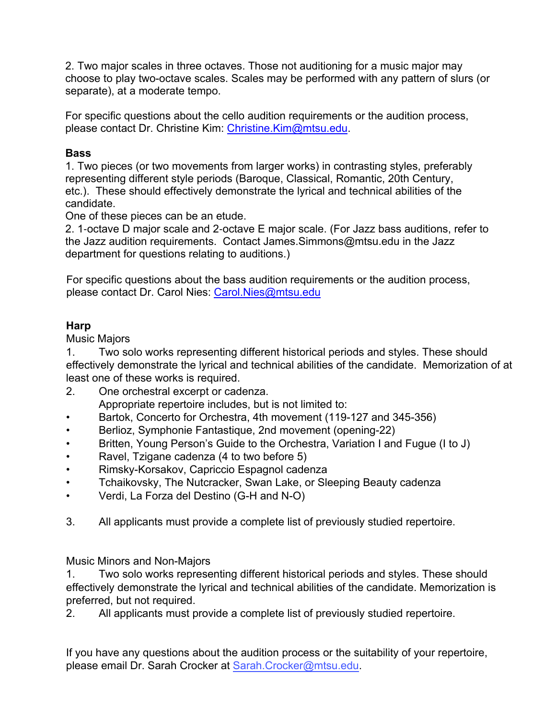2. Two major scales in three octaves. Those not auditioning for a music major may choose to play two-octave scales. Scales may be performed with any pattern of slurs (or separate), at a moderate tempo.

For specific questions about the cello audition requirements or the audition process, please contact Dr. Christine Kim: Christine.Kim@mtsu.edu.

## **Bass**

1. Two pieces (or two movements from larger works) in contrasting styles, preferably representing different style periods (Baroque, Classical, Romantic, 20th Century, etc.). These should effectively demonstrate the lyrical and technical abilities of the candidate.

One of these pieces can be an etude.

2. 1-octave D major scale and 2-octave E major scale. (For Jazz bass auditions, refer to the Jazz audition requirements. Contact James.Simmons@mtsu.edu in the Jazz department for questions relating to auditions.)

For specific questions about the bass audition requirements or the audition process, please contact Dr. Carol Nies: Carol.Nies@mtsu.edu

## **Harp**

Music Majors

1. Two solo works representing different historical periods and styles. These should effectively demonstrate the lyrical and technical abilities of the candidate. Memorization of at least one of these works is required.

- 2. One orchestral excerpt or cadenza. Appropriate repertoire includes, but is not limited to:
- Bartok, Concerto for Orchestra, 4th movement (119-127 and 345-356)
- Berlioz, Symphonie Fantastique, 2nd movement (opening-22)
- Britten, Young Person's Guide to the Orchestra, Variation I and Fugue (I to J)
- Ravel, Tzigane cadenza (4 to two before 5)
- Rimsky-Korsakov, Capriccio Espagnol cadenza
- Tchaikovsky, The Nutcracker, Swan Lake, or Sleeping Beauty cadenza
- Verdi, La Forza del Destino (G-H and N-O)
- 3. All applicants must provide a complete list of previously studied repertoire.

Music Minors and Non-Majors

1. Two solo works representing different historical periods and styles. These should effectively demonstrate the lyrical and technical abilities of the candidate. Memorization is preferred, but not required.

2. All applicants must provide a complete list of previously studied repertoire.

If you have any questions about the audition process or the suitability of your repertoire, please email Dr. Sarah Crocker at [Sarah.Crocker@mtsu.edu](mailto:sarah.crocker@mtsu.edu).